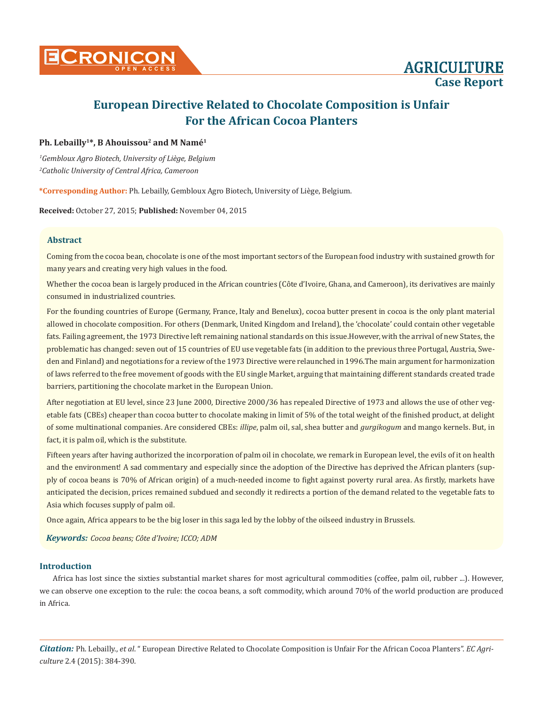

# **Ph. Lebailly1\*, B Ahouissou2 and M Namé1**

*1 Gembloux Agro Biotech, University of Liège, Belgium 2 Catholic University of Central Africa, Cameroon*

**\*Corresponding Author:** Ph. Lebailly, Gembloux Agro Biotech, University of Liège, Belgium.

**Received:** October 27, 2015; **Published:** November 04, 2015

## **Abstract**

Coming from the cocoa bean, chocolate is one of the most important sectors of the European food industry with sustained growth for many years and creating very high values in the food.

Whether the cocoa bean is largely produced in the African countries (Côte d'Ivoire, Ghana, and Cameroon), its derivatives are mainly consumed in industrialized countries.

For the founding countries of Europe (Germany, France, Italy and Benelux), cocoa butter present in cocoa is the only plant material allowed in chocolate composition. For others (Denmark, United Kingdom and Ireland), the 'chocolate' could contain other vegetable fats. Failing agreement, the 1973 Directive left remaining national standards on this issue.However, with the arrival of new States, the problematic has changed: seven out of 15 countries of EU use vegetable fats (in addition to the previous three Portugal, Austria, Sweden and Finland) and negotiations for a review of the 1973 Directive were relaunched in 1996.The main argument for harmonization of laws referred to the free movement of goods with the EU single Market, arguing that maintaining different standards created trade barriers, partitioning the chocolate market in the European Union.

After negotiation at EU level, since 23 June 2000, Directive 2000/36 has repealed Directive of 1973 and allows the use of other vegetable fats (CBEs) cheaper than cocoa butter to chocolate making in limit of 5% of the total weight of the finished product, at delight of some multinational companies. Are considered CBEs: *illipe*, palm oil, sal, shea butter and *gurgikogum* and mango kernels. But, in fact, it is palm oil, which is the substitute.

Fifteen years after having authorized the incorporation of palm oil in chocolate, we remark in European level, the evils of it on health and the environment! A sad commentary and especially since the adoption of the Directive has deprived the African planters (supply of cocoa beans is 70% of African origin) of a much-needed income to fight against poverty rural area. As firstly, markets have anticipated the decision, prices remained subdued and secondly it redirects a portion of the demand related to the vegetable fats to Asia which focuses supply of palm oil.

Once again, Africa appears to be the big loser in this saga led by the lobby of the oilseed industry in Brussels.

*Keywords: Cocoa beans; Côte d'Ivoire; ICCO; ADM*

## **Introduction**

Africa has lost since the sixties substantial market shares for most agricultural commodities (coffee, palm oil, rubber ...). However, we can observe one exception to the rule: the cocoa beans, a soft commodity, which around 70% of the world production are produced in Africa.

*Citation:* Ph. Lebailly., *et al*. " European Directive Related to Chocolate Composition is Unfair For the African Cocoa Planters". *EC Agriculture* 2.4 (2015): 384-390.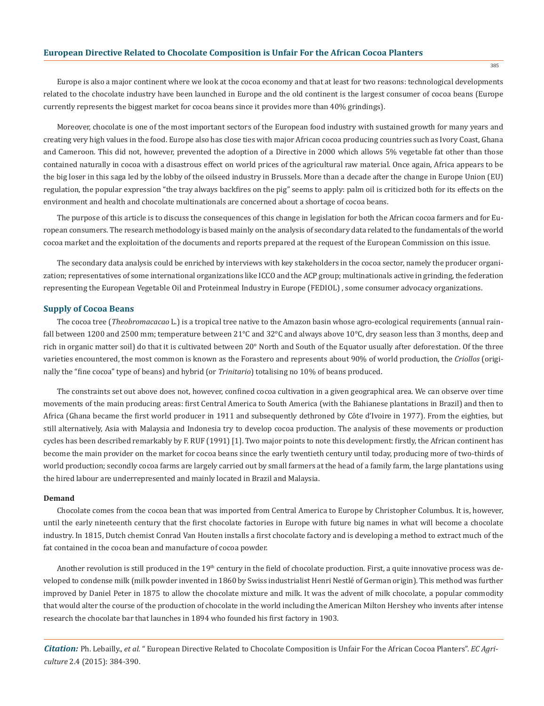Europe is also a major continent where we look at the cocoa economy and that at least for two reasons: technological developments related to the chocolate industry have been launched in Europe and the old continent is the largest consumer of cocoa beans (Europe currently represents the biggest market for cocoa beans since it provides more than 40% grindings).

Moreover, chocolate is one of the most important sectors of the European food industry with sustained growth for many years and creating very high values in the food. Europe also has close ties with major African cocoa producing countries such as Ivory Coast, Ghana and Cameroon. This did not, however, prevented the adoption of a Directive in 2000 which allows 5% vegetable fat other than those contained naturally in cocoa with a disastrous effect on world prices of the agricultural raw material. Once again, Africa appears to be the big loser in this saga led by the lobby of the oilseed industry in Brussels. More than a decade after the change in Europe Union (EU) regulation, the popular expression "the tray always backfires on the pig" seems to apply: palm oil is criticized both for its effects on the environment and health and chocolate multinationals are concerned about a shortage of cocoa beans.

The purpose of this article is to discuss the consequences of this change in legislation for both the African cocoa farmers and for European consumers. The research methodology is based mainly on the analysis of secondary data related to the fundamentals of the world cocoa market and the exploitation of the documents and reports prepared at the request of the European Commission on this issue.

The secondary data analysis could be enriched by interviews with key stakeholders in the cocoa sector, namely the producer organization; representatives of some international organizations like ICCO and the ACP group; multinationals active in grinding, the federation representing the European Vegetable Oil and Proteinmeal Industry in Europe (FEDIOL) , some consumer advocacy organizations.

#### **Supply of Cocoa Beans**

The cocoa tree (*Theobromacacao* L.) is a tropical tree native to the Amazon basin whose agro-ecological requirements (annual rainfall between 1200 and 2500 mm; temperature between 21°C and 32°C and always above 10°C, dry season less than 3 months, deep and rich in organic matter soil) do that it is cultivated between 20° North and South of the Equator usually after deforestation. Of the three varieties encountered, the most common is known as the Forastero and represents about 90% of world production, the *Criollos* (originally the "fine cocoa" type of beans) and hybrid (or *Trinitario*) totalising no 10% of beans produced.

The constraints set out above does not, however, confined cocoa cultivation in a given geographical area. We can observe over time movements of the main producing areas: first Central America to South America (with the Bahianese plantations in Brazil) and then to Africa (Ghana became the first world producer in 1911 and subsequently dethroned by Côte d'Ivoire in 1977). From the eighties, but still alternatively, Asia with Malaysia and Indonesia try to develop cocoa production. The analysis of these movements or production cycles has been described remarkably by F. RUF (1991) [1]. Two major points to note this development: firstly, the African continent has become the main provider on the market for cocoa beans since the early twentieth century until today, producing more of two-thirds of world production; secondly cocoa farms are largely carried out by small farmers at the head of a family farm, the large plantations using the hired labour are underrepresented and mainly located in Brazil and Malaysia.

#### **Demand**

Chocolate comes from the cocoa bean that was imported from Central America to Europe by Christopher Columbus. It is, however, until the early nineteenth century that the first chocolate factories in Europe with future big names in what will become a chocolate industry. In 1815, Dutch chemist Conrad Van Houten installs a first chocolate factory and is developing a method to extract much of the fat contained in the cocoa bean and manufacture of cocoa powder.

Another revolution is still produced in the  $19<sup>th</sup>$  century in the field of chocolate production. First, a quite innovative process was developed to condense milk (milk powder invented in 1860 by Swiss industrialist Henri Nestlé of German origin). This method was further improved by Daniel Peter in 1875 to allow the chocolate mixture and milk. It was the advent of milk chocolate, a popular commodity that would alter the course of the production of chocolate in the world including the American Milton Hershey who invents after intense research the chocolate bar that launches in 1894 who founded his first factory in 1903.

*Citation:* Ph. Lebailly., *et al*. " European Directive Related to Chocolate Composition is Unfair For the African Cocoa Planters". *EC Agriculture* 2.4 (2015): 384-390.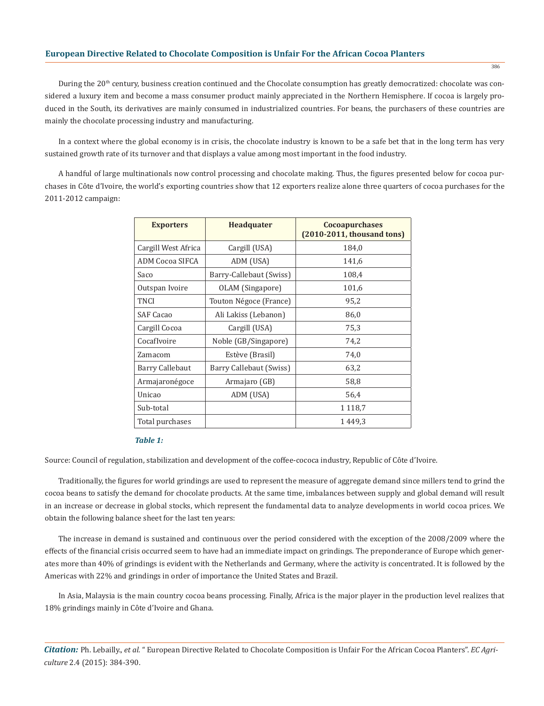During the 20<sup>th</sup> century, business creation continued and the Chocolate consumption has greatly democratized: chocolate was considered a luxury item and become a mass consumer product mainly appreciated in the Northern Hemisphere. If cocoa is largely produced in the South, its derivatives are mainly consumed in industrialized countries. For beans, the purchasers of these countries are mainly the chocolate processing industry and manufacturing.

In a context where the global economy is in crisis, the chocolate industry is known to be a safe bet that in the long term has very sustained growth rate of its turnover and that displays a value among most important in the food industry.

A handful of large multinationals now control processing and chocolate making. Thus, the figures presented below for cocoa purchases in Côte d'Ivoire, the world's exporting countries show that 12 exporters realize alone three quarters of cocoa purchases for the 2011-2012 campaign:

| <b>Exporters</b>       | <b>Headquater</b>       | <b>Cocoapurchases</b><br>$(2010-2011,$ thousand tons) |  |  |  |
|------------------------|-------------------------|-------------------------------------------------------|--|--|--|
| Cargill West Africa    | Cargill (USA)           | 184,0                                                 |  |  |  |
| <b>ADM Cocoa SIFCA</b> | ADM (USA)               | 141,6                                                 |  |  |  |
| Saco                   | Barry-Callebaut (Swiss) | 108,4                                                 |  |  |  |
| Outspan Ivoire         | OLAM (Singapore)        | 101,6                                                 |  |  |  |
| TNCI                   | Touton Négoce (France)  | 95,2                                                  |  |  |  |
| <b>SAF Cacao</b>       | Ali Lakiss (Lebanon)    | 86,0                                                  |  |  |  |
| Cargill Cocoa          | Cargill (USA)           | 75,3                                                  |  |  |  |
| CocafIvoire            | Noble (GB/Singapore)    | 74,2                                                  |  |  |  |
| Zamacom                | Estève (Brasil)         | 74,0                                                  |  |  |  |
| <b>Barry Callebaut</b> | Barry Callebaut (Swiss) | 63,2                                                  |  |  |  |
| Armajaronégoce         | Armajaro (GB)           | 58,8                                                  |  |  |  |
| Unicao                 | ADM (USA)               | 56,4                                                  |  |  |  |
| Sub-total              |                         | 1 1 1 8 .7                                            |  |  |  |
| Total purchases        |                         | 1449.3                                                |  |  |  |

## *Table 1:*

Source: Council of regulation, stabilization and development of the coffee-cococa industry, Republic of Côte d'Ivoire.

Traditionally, the figures for world grindings are used to represent the measure of aggregate demand since millers tend to grind the cocoa beans to satisfy the demand for chocolate products. At the same time, imbalances between supply and global demand will result in an increase or decrease in global stocks, which represent the fundamental data to analyze developments in world cocoa prices. We obtain the following balance sheet for the last ten years:

The increase in demand is sustained and continuous over the period considered with the exception of the 2008/2009 where the effects of the financial crisis occurred seem to have had an immediate impact on grindings. The preponderance of Europe which generates more than 40% of grindings is evident with the Netherlands and Germany, where the activity is concentrated. It is followed by the Americas with 22% and grindings in order of importance the United States and Brazil.

In Asia, Malaysia is the main country cocoa beans processing. Finally, Africa is the major player in the production level realizes that 18% grindings mainly in Côte d'Ivoire and Ghana.

*Citation:* Ph. Lebailly., *et al*. " European Directive Related to Chocolate Composition is Unfair For the African Cocoa Planters". *EC Agriculture* 2.4 (2015): 384-390.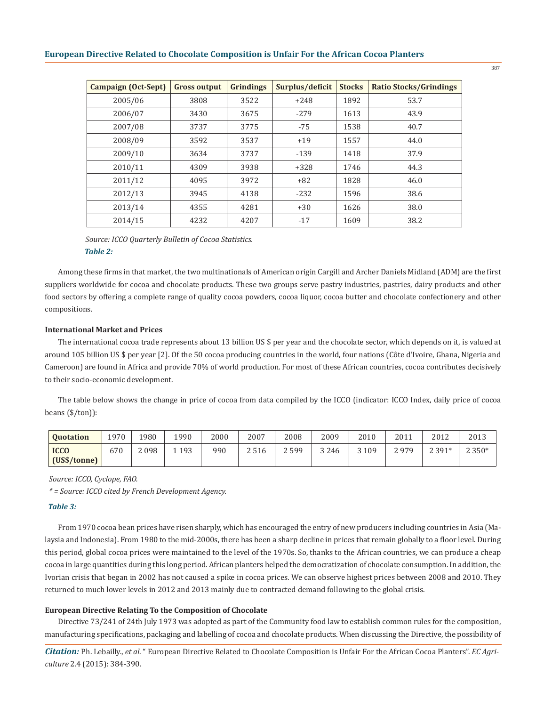| <b>Campaign (Oct-Sept)</b> | <b>Gross output</b> | <b>Grindings</b> | Surplus/deficit | <b>Stocks</b> | <b>Ratio Stocks/Grindings</b> |
|----------------------------|---------------------|------------------|-----------------|---------------|-------------------------------|
| 2005/06                    | 3808                | 3522             | $+248$          | 1892          | 53.7                          |
| 2006/07                    | 3430                | 3675             | $-279$          | 1613          | 43.9                          |
| 2007/08                    | 3737                | 3775             | $-75$           | 1538          | 40.7                          |
| 2008/09                    | 3592                | 3537             | $+19$           | 1557          | 44.0                          |
| 2009/10                    | 3634                | 3737             | $-139$          | 1418          | 37.9                          |
| 2010/11                    | 4309                | 3938             | $+328$          | 1746          | 44.3                          |
| 2011/12                    | 4095                | 3972             | $+82$           | 1828          | 46.0                          |
| 2012/13                    | 3945                | 4138             | $-232$          | 1596          | 38.6                          |
| 2013/14                    | 4355                | 4281             | $+30$           | 1626          | 38.0                          |
| 2014/15                    | 4232                | 4207             | $-17$           | 1609          | 38.2                          |

*Table 2: Source: ICCO Quarterly Bulletin of Cocoa Statistics.*

Among these firms in that market, the two multinationals of American origin Cargill and Archer Daniels Midland (ADM) are the first suppliers worldwide for cocoa and chocolate products. These two groups serve pastry industries, pastries, dairy products and other food sectors by offering a complete range of quality cocoa powders, cocoa liquor, cocoa butter and chocolate confectionery and other compositions.

### **International Market and Prices**

The international cocoa trade represents about 13 billion US \$ per year and the chocolate sector, which depends on it, is valued at around 105 billion US \$ per year [2]. Of the 50 cocoa producing countries in the world, four nations (Côte d'Ivoire, Ghana, Nigeria and Cameroon) are found in Africa and provide 70% of world production. For most of these African countries, cocoa contributes decisively to their socio-economic development.

The table below shows the change in price of cocoa from data compiled by the ICCO (indicator: ICCO Index, daily price of cocoa beans (\$/ton)):

| <b>Ouotation</b>            | 1970 | 1980 | 1990 | 2000 | 2007 | 2008 | 2009    | 2010    | 2011 | 2012    | 2013    |
|-----------------------------|------|------|------|------|------|------|---------|---------|------|---------|---------|
| <b>ICCO</b><br>(US\$/tonne) | 670  | 2098 | 193  | 990  | 2516 | 2599 | 3 2 4 6 | 3 1 0 9 | 2979 | $2391*$ | $2350*$ |

*Source: ICCO, Cyclope, FAO.*

*\* = Source: ICCO cited by French Development Agency.*

### *Table 3:*

From 1970 cocoa bean prices have risen sharply, which has encouraged the entry of new producers including countries in Asia (Malaysia and Indonesia). From 1980 to the mid-2000s, there has been a sharp decline in prices that remain globally to a floor level. During this period, global cocoa prices were maintained to the level of the 1970s. So, thanks to the African countries, we can produce a cheap cocoa in large quantities during this long period. African planters helped the democratization of chocolate consumption. In addition, the Ivorian crisis that began in 2002 has not caused a spike in cocoa prices. We can observe highest prices between 2008 and 2010. They returned to much lower levels in 2012 and 2013 mainly due to contracted demand following to the global crisis.

#### **European Directive Relating To the Composition of Chocolate**

Directive 73/241 of 24th July 1973 was adopted as part of the Community food law to establish common rules for the composition, manufacturing specifications, packaging and labelling of cocoa and chocolate products. When discussing the Directive, the possibility of

*Citation:* Ph. Lebailly., *et al*. " European Directive Related to Chocolate Composition is Unfair For the African Cocoa Planters". *EC Agriculture* 2.4 (2015): 384-390.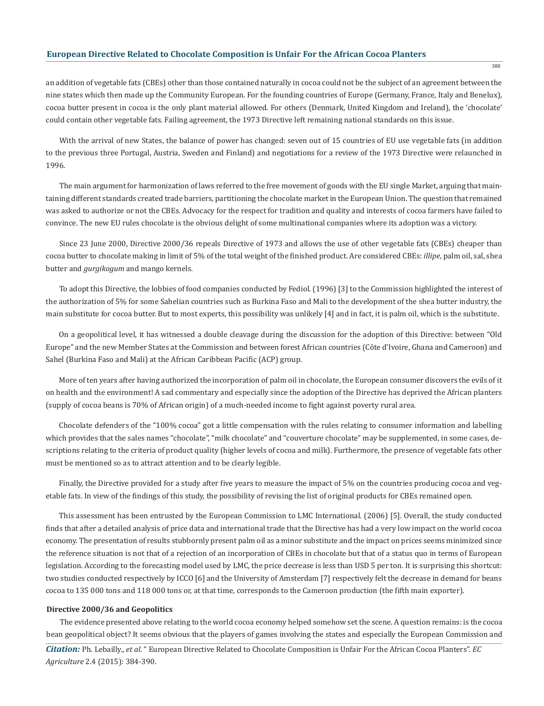an addition of vegetable fats (CBEs) other than those contained naturally in cocoa could not be the subject of an agreement between the nine states which then made up the Community European. For the founding countries of Europe (Germany, France, Italy and Benelux), cocoa butter present in cocoa is the only plant material allowed. For others (Denmark, United Kingdom and Ireland), the 'chocolate' could contain other vegetable fats. Failing agreement, the 1973 Directive left remaining national standards on this issue.

With the arrival of new States, the balance of power has changed: seven out of 15 countries of EU use vegetable fats (in addition to the previous three Portugal, Austria, Sweden and Finland) and negotiations for a review of the 1973 Directive were relaunched in 1996.

The main argument for harmonization of laws referred to the free movement of goods with the EU single Market, arguing that maintaining different standards created trade barriers, partitioning the chocolate market in the European Union. The question that remained was asked to authorize or not the CBEs. Advocacy for the respect for tradition and quality and interests of cocoa farmers have failed to convince. The new EU rules chocolate is the obvious delight of some multinational companies where its adoption was a victory.

Since 23 June 2000, Directive 2000/36 repeals Directive of 1973 and allows the use of other vegetable fats (CBEs) cheaper than cocoa butter to chocolate making in limit of 5% of the total weight of the finished product. Are considered CBEs: *illipe*, palm oil, sal, shea butter and *gurgikogum* and mango kernels.

To adopt this Directive, the lobbies of food companies conducted by Fediol. (1996) [3] to the Commission highlighted the interest of the authorization of 5% for some Sahelian countries such as Burkina Faso and Mali to the development of the shea butter industry, the main substitute for cocoa butter. But to most experts, this possibility was unlikely [4] and in fact, it is palm oil, which is the substitute.

On a geopolitical level, it has witnessed a double cleavage during the discussion for the adoption of this Directive: between "Old Europe" and the new Member States at the Commission and between forest African countries (Côte d'Ivoire, Ghana and Cameroon) and Sahel (Burkina Faso and Mali) at the African Caribbean Pacific (ACP) group.

More of ten years after having authorized the incorporation of palm oil in chocolate, the European consumer discovers the evils of it on health and the environment! A sad commentary and especially since the adoption of the Directive has deprived the African planters (supply of cocoa beans is 70% of African origin) of a much-needed income to fight against poverty rural area.

Chocolate defenders of the "100% cocoa" got a little compensation with the rules relating to consumer information and labelling which provides that the sales names "chocolate", "milk chocolate" and "couverture chocolate" may be supplemented, in some cases, descriptions relating to the criteria of product quality (higher levels of cocoa and milk). Furthermore, the presence of vegetable fats other must be mentioned so as to attract attention and to be clearly legible.

Finally, the Directive provided for a study after five years to measure the impact of 5% on the countries producing cocoa and vegetable fats. In view of the findings of this study, the possibility of revising the list of original products for CBEs remained open.

This assessment has been entrusted by the European Commission to LMC International. (2006) [5]. Overall, the study conducted finds that after a detailed analysis of price data and international trade that the Directive has had a very low impact on the world cocoa economy. The presentation of results stubbornly present palm oil as a minor substitute and the impact on prices seems minimized since the reference situation is not that of a rejection of an incorporation of CBEs in chocolate but that of a status quo in terms of European legislation. According to the forecasting model used by LMC, the price decrease is less than USD 5 per ton. It is surprising this shortcut: two studies conducted respectively by ICCO [6] and the University of Amsterdam [7] respectively felt the decrease in demand for beans cocoa to 135 000 tons and 118 000 tons or, at that time, corresponds to the Cameroon production (the fifth main exporter).

#### **Directive 2000/36 and Geopolitics**

The evidence presented above relating to the world cocoa economy helped somehow set the scene. A question remains: is the cocoa bean geopolitical object? It seems obvious that the players of games involving the states and especially the European Commission and

*Citation:* Ph. Lebailly., *et al*. " European Directive Related to Chocolate Composition is Unfair For the African Cocoa Planters". *EC Agriculture* 2.4 (2015): 384-390.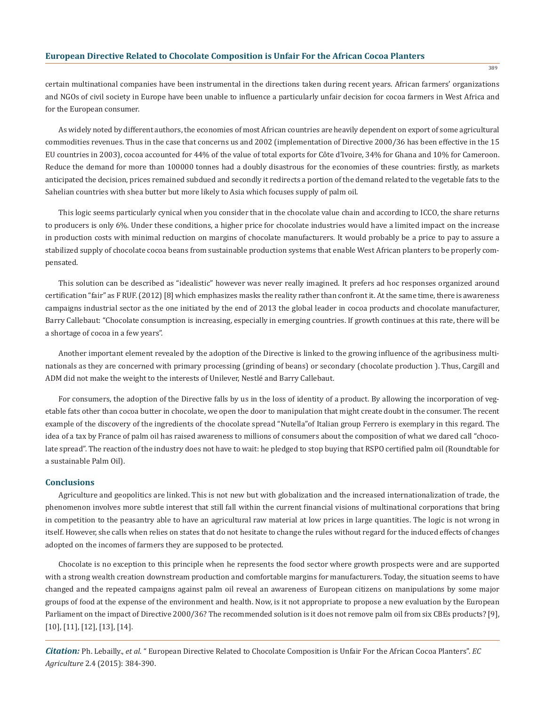certain multinational companies have been instrumental in the directions taken during recent years. African farmers' organizations and NGOs of civil society in Europe have been unable to influence a particularly unfair decision for cocoa farmers in West Africa and for the European consumer.

As widely noted by different authors, the economies of most African countries are heavily dependent on export of some agricultural commodities revenues. Thus in the case that concerns us and 2002 (implementation of Directive 2000/36 has been effective in the 15 EU countries in 2003), cocoa accounted for 44% of the value of total exports for Côte d'Ivoire, 34% for Ghana and 10% for Cameroon. Reduce the demand for more than 100000 tonnes had a doubly disastrous for the economies of these countries: firstly, as markets anticipated the decision, prices remained subdued and secondly it redirects a portion of the demand related to the vegetable fats to the Sahelian countries with shea butter but more likely to Asia which focuses supply of palm oil.

This logic seems particularly cynical when you consider that in the chocolate value chain and according to ICCO, the share returns to producers is only 6%. Under these conditions, a higher price for chocolate industries would have a limited impact on the increase in production costs with minimal reduction on margins of chocolate manufacturers. It would probably be a price to pay to assure a stabilized supply of chocolate cocoa beans from sustainable production systems that enable West African planters to be properly compensated.

This solution can be described as "idealistic" however was never really imagined. It prefers ad hoc responses organized around certification "fair" as F RUF. (2012) [8] which emphasizes masks the reality rather than confront it. At the same time, there is awareness campaigns industrial sector as the one initiated by the end of 2013 the global leader in cocoa products and chocolate manufacturer, Barry Callebaut: "Chocolate consumption is increasing, especially in emerging countries. If growth continues at this rate, there will be a shortage of cocoa in a few years".

Another important element revealed by the adoption of the Directive is linked to the growing influence of the agribusiness multinationals as they are concerned with primary processing (grinding of beans) or secondary (chocolate production ). Thus, Cargill and ADM did not make the weight to the interests of Unilever, Nestlé and Barry Callebaut.

For consumers, the adoption of the Directive falls by us in the loss of identity of a product. By allowing the incorporation of vegetable fats other than cocoa butter in chocolate, we open the door to manipulation that might create doubt in the consumer. The recent example of the discovery of the ingredients of the chocolate spread "Nutella"of Italian group Ferrero is exemplary in this regard. The idea of a tax by France of palm oil has raised awareness to millions of consumers about the composition of what we dared call "chocolate spread". The reaction of the industry does not have to wait: he pledged to stop buying that RSPO certified palm oil (Roundtable for a sustainable Palm Oil).

#### **Conclusions**

Agriculture and geopolitics are linked. This is not new but with globalization and the increased internationalization of trade, the phenomenon involves more subtle interest that still fall within the current financial visions of multinational corporations that bring in competition to the peasantry able to have an agricultural raw material at low prices in large quantities. The logic is not wrong in itself. However, she calls when relies on states that do not hesitate to change the rules without regard for the induced effects of changes adopted on the incomes of farmers they are supposed to be protected.

Chocolate is no exception to this principle when he represents the food sector where growth prospects were and are supported with a strong wealth creation downstream production and comfortable margins for manufacturers. Today, the situation seems to have changed and the repeated campaigns against palm oil reveal an awareness of European citizens on manipulations by some major groups of food at the expense of the environment and health. Now, is it not appropriate to propose a new evaluation by the European Parliament on the impact of Directive 2000/36? The recommended solution is it does not remove palm oil from six CBEs products? [9], [10], [11], [12], [13], [14].

*Citation:* Ph. Lebailly., *et al*. " European Directive Related to Chocolate Composition is Unfair For the African Cocoa Planters". *EC Agriculture* 2.4 (2015): 384-390.